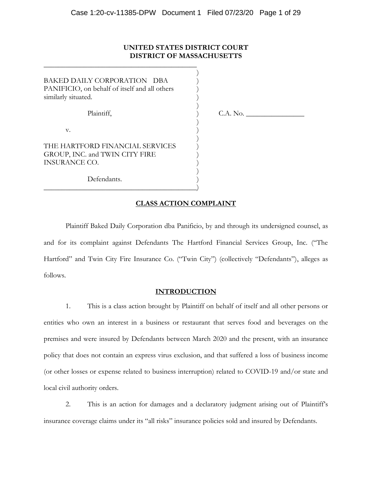# **UNITED STATES DISTRICT COURT DISTRICT OF MASSACHUSETTS**

)

)

)

)

)

BAKED DAILY CORPORATION DBA ) PANIFICIO, on behalf of itself and all others similarly situated.

\_\_\_\_\_\_\_\_\_\_\_\_\_\_\_\_\_\_\_\_\_\_\_\_\_\_\_\_\_\_\_\_\_\_\_\_\_\_\_\_\_\_

Plaintiff,  $\qquad \qquad$  (C.A. No. \_

 $\mathbf v.$  )

THE HARTFORD FINANCIAL SERVICES GROUP, INC. and TWIN CITY FIRE INSURANCE CO.

 $\hspace{.5em}$   $\hspace{.5em}$   $\hspace{.5em}$   $\hspace{.5em}$   $\hspace{.5em}$   $\hspace{.5em}$   $\hspace{.5em}$   $\hspace{.5em}$   $\hspace{.5em}$   $\hspace{.5em}$   $\hspace{.5em}$   $\hspace{.5em}$   $\hspace{.5em}$   $\hspace{.5em}$   $\hspace{.5em}$   $\hspace{.5em}$   $\hspace{.5em}$   $\hspace{.5em}$   $\hspace{.5em}$   $\hspace{.5em}$ 

Defendants.

# **CLASS ACTION COMPLAINT**

Plaintiff Baked Daily Corporation dba Panificio, by and through its undersigned counsel, as and for its complaint against Defendants The Hartford Financial Services Group, Inc. ("The Hartford" and Twin City Fire Insurance Co. ("Twin City") (collectively "Defendants"), alleges as follows.

## **INTRODUCTION**

1. This is a class action brought by Plaintiff on behalf of itself and all other persons or entities who own an interest in a business or restaurant that serves food and beverages on the premises and were insured by Defendants between March 2020 and the present, with an insurance policy that does not contain an express virus exclusion, and that suffered a loss of business income (or other losses or expense related to business interruption) related to COVID-19 and/or state and local civil authority orders.

2. This is an action for damages and a declaratory judgment arising out of Plaintiff's insurance coverage claims under its "all risks" insurance policies sold and insured by Defendants.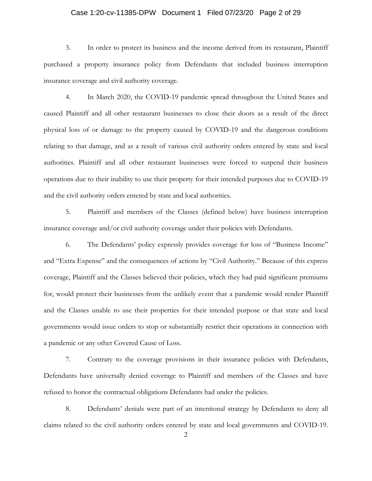## Case 1:20-cv-11385-DPW Document 1 Filed 07/23/20 Page 2 of 29

3. In order to protect its business and the income derived from its restaurant, Plaintiff purchased a property insurance policy from Defendants that included business interruption insurance coverage and civil authority coverage.

4. In March 2020, the COVID-19 pandemic spread throughout the United States and caused Plaintiff and all other restaurant businesses to close their doors as a result of the direct physical loss of or damage to the property caused by COVID-19 and the dangerous conditions relating to that damage, and as a result of various civil authority orders entered by state and local authorities. Plaintiff and all other restaurant businesses were forced to suspend their business operations due to their inability to use their property for their intended purposes due to COVID-19 and the civil authority orders entered by state and local authorities.

5. Plaintiff and members of the Classes (defined below) have business interruption insurance coverage and/or civil authority coverage under their policies with Defendants.

6. The Defendants' policy expressly provides coverage for loss of "Business Income" and "Extra Expense" and the consequences of actions by "Civil Authority." Because of this express coverage, Plaintiff and the Classes believed their policies, which they had paid significant premiums for, would protect their businesses from the unlikely event that a pandemic would render Plaintiff and the Classes unable to use their properties for their intended purpose or that state and local governments would issue orders to stop or substantially restrict their operations in connection with a pandemic or any other Covered Cause of Loss.

7. Contrary to the coverage provisions in their insurance policies with Defendants, Defendants have universally denied coverage to Plaintiff and members of the Classes and have refused to honor the contractual obligations Defendants had under the policies.

8. Defendants' denials were part of an intentional strategy by Defendants to deny all claims related to the civil authority orders entered by state and local governments and COVID-19.

2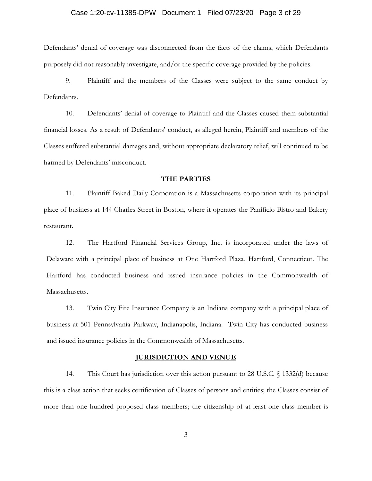## Case 1:20-cv-11385-DPW Document 1 Filed 07/23/20 Page 3 of 29

Defendants' denial of coverage was disconnected from the facts of the claims, which Defendants purposely did not reasonably investigate, and/or the specific coverage provided by the policies.

9. Plaintiff and the members of the Classes were subject to the same conduct by Defendants.

10. Defendants' denial of coverage to Plaintiff and the Classes caused them substantial financial losses. As a result of Defendants' conduct, as alleged herein, Plaintiff and members of the Classes suffered substantial damages and, without appropriate declaratory relief, will continued to be harmed by Defendants' misconduct.

#### **THE PARTIES**

11. Plaintiff Baked Daily Corporation is a Massachusetts corporation with its principal place of business at 144 Charles Street in Boston, where it operates the Panificio Bistro and Bakery restaurant.

12. The Hartford Financial Services Group, Inc. is incorporated under the laws of Delaware with a principal place of business at One Hartford Plaza, Hartford, Connecticut. The Hartford has conducted business and issued insurance policies in the Commonwealth of Massachusetts.

13. Twin City Fire Insurance Company is an Indiana company with a principal place of business at 501 Pennsylvania Parkway, Indianapolis, Indiana. Twin City has conducted business and issued insurance policies in the Commonwealth of Massachusetts.

## **JURISDICTION AND VENUE**

14. This Court has jurisdiction over this action pursuant to 28 U.S.C. § 1332(d) because this is a class action that seeks certification of Classes of persons and entities; the Classes consist of more than one hundred proposed class members; the citizenship of at least one class member is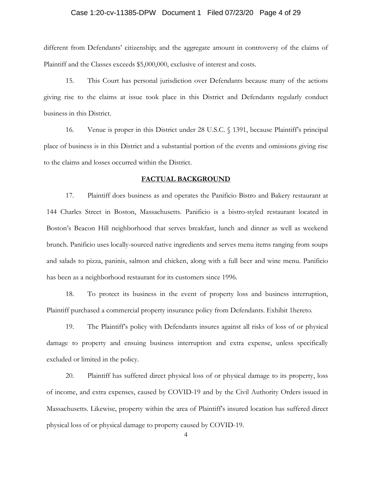## Case 1:20-cv-11385-DPW Document 1 Filed 07/23/20 Page 4 of 29

different from Defendants' citizenship; and the aggregate amount in controversy of the claims of Plaintiff and the Classes exceeds \$5,000,000, exclusive of interest and costs.

15. This Court has personal jurisdiction over Defendants because many of the actions giving rise to the claims at issue took place in this District and Defendants regularly conduct business in this District.

16. Venue is proper in this District under 28 U.S.C. § 1391, because Plaintiff's principal place of business is in this District and a substantial portion of the events and omissions giving rise to the claims and losses occurred within the District.

#### **FACTUAL BACKGROUND**

17. Plaintiff does business as and operates the Panificio Bistro and Bakery restaurant at 144 Charles Street in Boston, Massachusetts. Panificio is a bistro-styled restaurant located in Boston's Beacon Hill neighborhood that serves breakfast, lunch and dinner as well as weekend brunch. Panificio uses locally-sourced native ingredients and serves menu items ranging from soups and salads to pizza, paninis, salmon and chicken, along with a full beer and wine menu. Panificio has been as a neighborhood restaurant for its customers since 1996.

18. To protect its business in the event of property loss and business interruption, Plaintiff purchased a commercial property insurance policy from Defendants. Exhibit 1hereto.

19. The Plaintiff's policy with Defendants insures against all risks of loss of or physical damage to property and ensuing business interruption and extra expense, unless specifically excluded or limited in the policy.

20. Plaintiff has suffered direct physical loss of or physical damage to its property, loss of income, and extra expenses, caused by COVID-19 and by the Civil Authority Orders issued in Massachusetts. Likewise, property within the area of Plaintiff's insured location has suffered direct physical loss of or physical damage to property caused by COVID-19.

4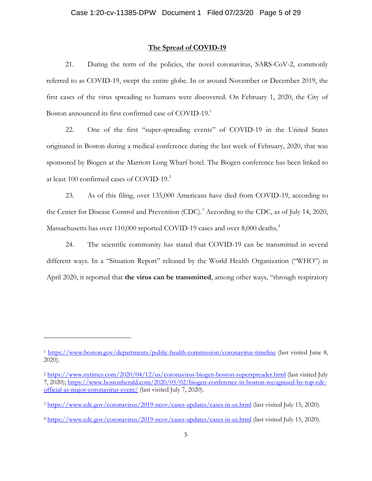## **The Spread of COVID-19**

21. During the term of the policies, the novel coronavirus, SARS-CoV-2, commonly referred to as COVID-19, swept the entire globe. In or around November or December 2019, the first cases of the virus spreading to humans were discovered. On February 1, 2020, the City of Boston announced its first confirmed case of COVID-19.<sup>1</sup>

22. One of the first "super-spreading events" of COVID-19 in the United States originated in Boston during a medical conference during the last week of February, 2020, that was sponsored by Biogen at the Marriott Long Wharf hotel. The Biogen conference has been linked to at least 100 confirmed cases of COVID-19.<sup>2</sup>

23. As of this filing, over 135,000 Americans have died from COVID-19, according to the Center for Disease Control and Prevention (CDC).<sup>3</sup> According to the CDC, as of July 14, 2020, Massachusetts has over 110,000 reported COVID-19 cases and over 8,000 deaths.<sup>4</sup>

24. The scientific community has stated that COVID-19 can be transmitted in several different ways. In a "Situation Report" released by the World Health Organization ("WHO") in April 2020, it reported that **the virus can be transmitted**, among other ways, "through respiratory

<sup>1</sup> <https://www.boston.gov/departments/public-health-commission/coronavirus-timeline> (last visited June 8, 2020).

<sup>2</sup> <https://www.nytimes.com/2020/04/12/us/coronavirus-biogen-boston-superspreader.html> (last visited July 7, 2020); [https://www.bostonherald.com/2020/05/02/biogen-conference-in-boston-recognized-by-top-cdc](https://www.bostonherald.com/2020/05/02/biogen-conference-in-boston-recognized-by-top-cdc-official-as-major-coronavirus-event/)[official-as-major-coronavirus-event/](https://www.bostonherald.com/2020/05/02/biogen-conference-in-boston-recognized-by-top-cdc-official-as-major-coronavirus-event/) (last visited July 7, 2020).

<sup>3</sup> <https://www.cdc.gov/coronavirus/2019-ncov/cases-updates/cases-in-us.html> (last visited July 15, 2020).

<sup>4</sup> <https://www.cdc.gov/coronavirus/2019-ncov/cases-updates/cases-in-us.html> (last visited July 15, 2020).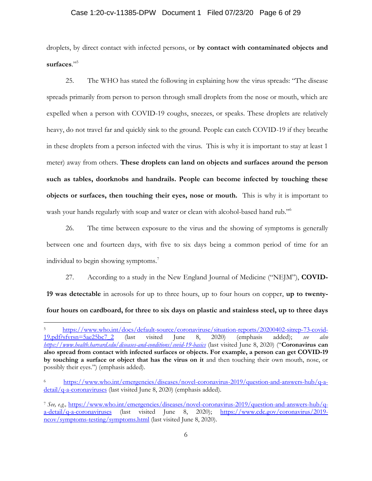#### Case 1:20-cv-11385-DPW Document 1 Filed 07/23/20 Page 6 of 29

droplets, by direct contact with infected persons, or **by contact with contaminated objects and surfaces**."<sup>5</sup>

25. The WHO has stated the following in explaining how the virus spreads: "The disease spreads primarily from person to person through small droplets from the nose or mouth, which are expelled when a person with COVID-19 coughs, sneezes, or speaks. These droplets are relatively heavy, do not travel far and quickly sink to the ground. People can catch COVID-19 if they breathe in these droplets from a person infected with the virus. This is why it is important to stay at least 1 meter) away from others. **These droplets can land on objects and surfaces around the person such as tables, doorknobs and handrails. People can become infected by touching these objects or surfaces, then touching their eyes, nose or mouth.** This is why it is important to wash your hands regularly with soap and water or clean with alcohol-based hand rub."<sup>6</sup>

26. The time between exposure to the virus and the showing of symptoms is generally between one and fourteen days, with five to six days being a common period of time for an individual to begin showing symptoms.<sup>7</sup>

27. According to a study in the New England Journal of Medicine ("NEJM"), **COVID-19 was detectable** in aerosols for up to three hours, up to four hours on copper, **up to twentyfour hours on cardboard, for three to six days on plastic and stainless steel, up to three days** 

<sup>5</sup> [https://www.who.int/docs/default-source/coronaviruse/situation-reports/20200402-sitrep-73-covid-](https://www.who.int/docs/default-source/coronaviruse/situation-reports/20200402-sitrep-73-covid-19.pdf?sfvrsn=5ae25bc7_2)[19.pdf?sfvrsn=5ae25bc7\\_2](https://www.who.int/docs/default-source/coronaviruse/situation-reports/20200402-sitrep-73-covid-19.pdf?sfvrsn=5ae25bc7_2) (last visited June 8, 2020) (emphasis added); *see also <https://www.health.harvard.edu/diseases-and-conditions/covid-19-basics>* (last visited June 8, 2020) ("**Coronavirus can also spread from contact with infected surfaces or objects. For example, a person can get COVID-19 by touching a surface or object that has the virus on it** and then touching their own mouth, nose, or possibly their eyes.") (emphasis added).

<sup>6</sup> [https://www.who.int/emergencies/diseases/novel-coronavirus-2019/question-and-answers-hub/q-a](https://www.who.int/emergencies/diseases/novel-coronavirus-2019/question-and-answers-hub/q-a-detail/q-a-coronaviruses)[detail/q-a-coronaviruses](https://www.who.int/emergencies/diseases/novel-coronavirus-2019/question-and-answers-hub/q-a-detail/q-a-coronaviruses) (last visited June 8, 2020) (emphasis added).

<sup>7</sup> *See, e.g.,* [https://www.who.int/emergencies/diseases/novel-coronavirus-2019/question-and-answers-hub/q](https://www.who.int/emergencies/diseases/novel-coronavirus-2019/question-and-answers-hub/q-a-detail/q-a-coronaviruses)[a-detail/q-a-coronaviruses](https://www.who.int/emergencies/diseases/novel-coronavirus-2019/question-and-answers-hub/q-a-detail/q-a-coronaviruses) (last visited June 8, 2020); [https://www.cdc.gov/coronavirus/2019](https://www.cdc.gov/coronavirus/2019-ncov/symptoms-testing/symptoms.html) [ncov/symptoms-testing/symptoms.html](https://www.cdc.gov/coronavirus/2019-ncov/symptoms-testing/symptoms.html) (last visited June 8, 2020).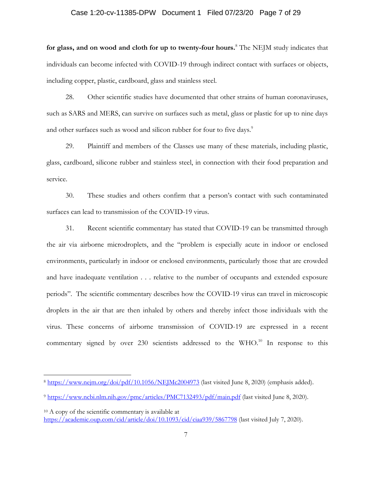## Case 1:20-cv-11385-DPW Document 1 Filed 07/23/20 Page 7 of 29

**for glass, and on wood and cloth for up to twenty-four hours.**<sup>8</sup> The NEJM study indicates that individuals can become infected with COVID-19 through indirect contact with surfaces or objects, including copper, plastic, cardboard, glass and stainless steel.

28. Other scientific studies have documented that other strains of human coronaviruses, such as SARS and MERS, can survive on surfaces such as metal, glass or plastic for up to nine days and other surfaces such as wood and silicon rubber for four to five days.<sup>9</sup>

29. Plaintiff and members of the Classes use many of these materials, including plastic, glass, cardboard, silicone rubber and stainless steel, in connection with their food preparation and service.

30. These studies and others confirm that a person's contact with such contaminated surfaces can lead to transmission of the COVID-19 virus.

31. Recent scientific commentary has stated that COVID-19 can be transmitted through the air via airborne microdroplets, and the "problem is especially acute in indoor or enclosed environments, particularly in indoor or enclosed environments, particularly those that are crowded and have inadequate ventilation . . . relative to the number of occupants and extended exposure periods". The scientific commentary describes how the COVID-19 virus can travel in microscopic droplets in the air that are then inhaled by others and thereby infect those individuals with the virus. These concerns of airborne transmission of COVID-19 are expressed in a recent commentary signed by over  $230$  scientists addressed to the WHO.<sup>10</sup> In response to this

<sup>8</sup> <https://www.nejm.org/doi/pdf/10.1056/NEJMc2004973> (last visited June 8, 2020) (emphasis added).

<sup>9</sup> <https://www.ncbi.nlm.nih.gov/pmc/articles/PMC7132493/pdf/main.pdf> (last visited June 8, 2020).

<sup>10</sup> A copy of the scientific commentary is available at <https://academic.oup.com/cid/article/doi/10.1093/cid/ciaa939/5867798> (last visited July 7, 2020).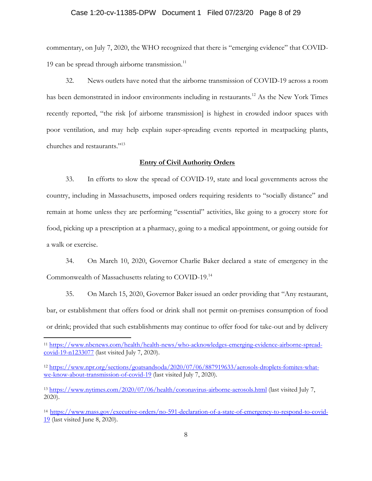## Case 1:20-cv-11385-DPW Document 1 Filed 07/23/20 Page 8 of 29

commentary, on July 7, 2020, the WHO recognized that there is "emerging evidence" that COVID-19 can be spread through airborne transmission. $^{11}$ 

32. News outlets have noted that the airborne transmission of COVID-19 across a room has been demonstrated in indoor environments including in restaurants.<sup>12</sup> As the New York Times recently reported, "the risk [of airborne transmission] is highest in crowded indoor spaces with poor ventilation, and may help explain super-spreading events reported in meatpacking plants, churches and restaurants."<sup>13</sup>

#### **Entry of Civil Authority Orders**

33. In efforts to slow the spread of COVID-19, state and local governments across the country, including in Massachusetts, imposed orders requiring residents to "socially distance" and remain at home unless they are performing "essential" activities, like going to a grocery store for food, picking up a prescription at a pharmacy, going to a medical appointment, or going outside for a walk or exercise.

34. On March 10, 2020, Governor Charlie Baker declared a state of emergency in the Commonwealth of Massachusetts relating to COVID-19.<sup>14</sup>

35. On March 15, 2020, Governor Baker issued an order providing that "Any restaurant, bar, or establishment that offers food or drink shall not permit on-premises consumption of food or drink; provided that such establishments may continue to offer food for take-out and by delivery

<sup>11</sup> [https://www.nbcnews.com/health/health-news/who-acknowledges-emerging-evidence-airborne-spread](https://www.nbcnews.com/health/health-news/who-acknowledges-emerging-evidence-airborne-spread-covid-19-n1233077)[covid-19-n1233077](https://www.nbcnews.com/health/health-news/who-acknowledges-emerging-evidence-airborne-spread-covid-19-n1233077) (last visited July 7, 2020).

<sup>12</sup> [https://www.npr.org/sections/goatsandsoda/2020/07/06/887919633/aerosols-droplets-fomites-what](https://www.npr.org/sections/goatsandsoda/2020/07/06/887919633/aerosols-droplets-fomites-what-we-know-about-transmission-of-covid-19)[we-know-about-transmission-of-covid-19](https://www.npr.org/sections/goatsandsoda/2020/07/06/887919633/aerosols-droplets-fomites-what-we-know-about-transmission-of-covid-19) (last visited July 7, 2020).

<sup>13</sup> <https://www.nytimes.com/2020/07/06/health/coronavirus-airborne-aerosols.html> (last visited July 7, 2020).

<sup>14</sup> [https://www.mass.gov/executive-orders/no-591-declaration-of-a-state-of-emergency-to-respond-to-covid-](https://www.mass.gov/executive-orders/no-591-declaration-of-a-state-of-emergency-to-respond-to-covid-19)[19](https://www.mass.gov/executive-orders/no-591-declaration-of-a-state-of-emergency-to-respond-to-covid-19) (last visited June 8, 2020).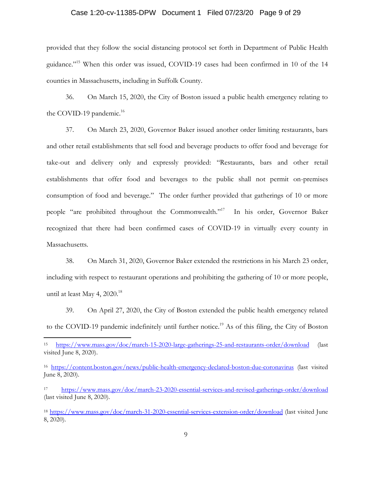## Case 1:20-cv-11385-DPW Document 1 Filed 07/23/20 Page 9 of 29

provided that they follow the social distancing protocol set forth in Department of Public Health guidance."<sup>15</sup> When this order was issued, COVID-19 cases had been confirmed in 10 of the 14 counties in Massachusetts, including in Suffolk County.

36. On March 15, 2020, the City of Boston issued a public health emergency relating to the COVID-19 pandemic.<sup>16</sup>

37. On March 23, 2020, Governor Baker issued another order limiting restaurants, bars and other retail establishments that sell food and beverage products to offer food and beverage for take-out and delivery only and expressly provided: "Restaurants, bars and other retail establishments that offer food and beverages to the public shall not permit on-premises consumption of food and beverage." The order further provided that gatherings of 10 or more people "are prohibited throughout the Commonwealth."<sup>17</sup> In his order, Governor Baker recognized that there had been confirmed cases of COVID-19 in virtually every county in Massachusetts.

38. On March 31, 2020, Governor Baker extended the restrictions in his March 23 order, including with respect to restaurant operations and prohibiting the gathering of 10 or more people, until at least May 4,  $2020.^{18}$ 

39. On April 27, 2020, the City of Boston extended the public health emergency related to the COVID-19 pandemic indefinitely until further notice.<sup>19</sup> As of this filing, the City of Boston

<sup>15</sup> <https://www.mass.gov/doc/march-15-2020-large-gatherings-25-and-restaurants-order/download> (last visited June 8, 2020).

<sup>16</sup> <https://content.boston.gov/news/public-health-emergency-declared-boston-due-coronavirus> (last visited June 8, 2020).

<sup>17</sup> <https://www.mass.gov/doc/march-23-2020-essential-services-and-revised-gatherings-order/download> (last visited June 8, 2020).

<sup>18</sup> <https://www.mass.gov/doc/march-31-2020-essential-services-extension-order/download> (last visited June 8, 2020).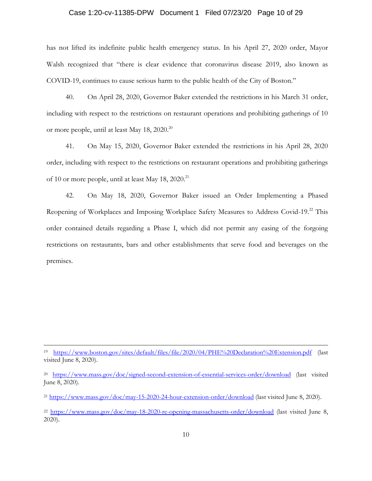#### Case 1:20-cv-11385-DPW Document 1 Filed 07/23/20 Page 10 of 29

has not lifted its indefinite public health emergency status. In his April 27, 2020 order, Mayor Walsh recognized that "there is clear evidence that coronavirus disease 2019, also known as COVID-19, continues to cause serious harm to the public health of the City of Boston."

40. On April 28, 2020, Governor Baker extended the restrictions in his March 31 order, including with respect to the restrictions on restaurant operations and prohibiting gatherings of 10 or more people, until at least May 18, 2020.<sup>20</sup>

41. On May 15, 2020, Governor Baker extended the restrictions in his April 28, 2020 order, including with respect to the restrictions on restaurant operations and prohibiting gatherings of 10 or more people, until at least May 18, 2020.<sup>21</sup>

42. On May 18, 2020, Governor Baker issued an Order Implementing a Phased Reopening of Workplaces and Imposing Workplace Safety Measures to Address Covid-19.<sup>22</sup> This order contained details regarding a Phase I, which did not permit any easing of the forgoing restrictions on restaurants, bars and other establishments that serve food and beverages on the premises.

<sup>19</sup> <https://www.boston.gov/sites/default/files/file/2020/04/PHE%20Declaration%20Extension.pdf> (last visited June 8, 2020).

<sup>20</sup> <https://www.mass.gov/doc/signed-second-extension-of-essential-services-order/download> (last visited June 8, 2020).

<sup>21</sup> <https://www.mass.gov/doc/may-15-2020-24-hour-extension-order/download> (last visited June 8, 2020).

<sup>&</sup>lt;sup>22</sup> <https://www.mass.gov/doc/may-18-2020-re-opening-massachusetts-order/download> (last visited June 8, 2020).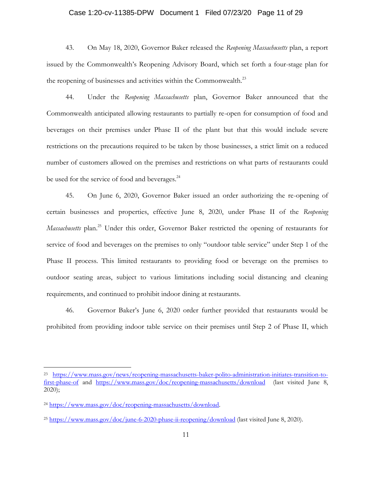# Case 1:20-cv-11385-DPW Document 1 Filed 07/23/20 Page 11 of 29

43. On May 18, 2020, Governor Baker released the *Reopening Massachusetts* plan, a report issued by the Commonwealth's Reopening Advisory Board, which set forth a four-stage plan for the reopening of businesses and activities within the Commonwealth.<sup>23</sup>

44. Under the *Reopening Massachusetts* plan, Governor Baker announced that the Commonwealth anticipated allowing restaurants to partially re-open for consumption of food and beverages on their premises under Phase II of the plant but that this would include severe restrictions on the precautions required to be taken by those businesses, a strict limit on a reduced number of customers allowed on the premises and restrictions on what parts of restaurants could be used for the service of food and beverages.<sup>24</sup>

45. On June 6, 2020, Governor Baker issued an order authorizing the re-opening of certain businesses and properties, effective June 8, 2020, under Phase II of the *Reopening Massachusetts* plan.<sup>25</sup> Under this order, Governor Baker restricted the opening of restaurants for service of food and beverages on the premises to only "outdoor table service" under Step 1 of the Phase II process. This limited restaurants to providing food or beverage on the premises to outdoor seating areas, subject to various limitations including social distancing and cleaning requirements, and continued to prohibit indoor dining at restaurants.

46. Governor Baker's June 6, 2020 order further provided that restaurants would be prohibited from providing indoor table service on their premises until Step 2 of Phase II, which

<sup>23</sup> [https://www.mass.gov/news/reopening-massachusetts-baker-polito-administration-initiates-transition-to](https://www.mass.gov/news/reopening-massachusetts-baker-polito-administration-initiates-transition-to-first-phase-of)[first-phase-of](https://www.mass.gov/news/reopening-massachusetts-baker-polito-administration-initiates-transition-to-first-phase-of) and <https://www.mass.gov/doc/reopening-massachusetts/download>(last visited June 8, 2020);

<sup>24</sup> [https://www.mass.gov/doc/reopening-massachusetts/download.](https://www.mass.gov/doc/reopening-massachusetts/download)

<sup>25</sup> <https://www.mass.gov/doc/june-6-2020-phase-ii-reopening/download> (last visited June 8, 2020).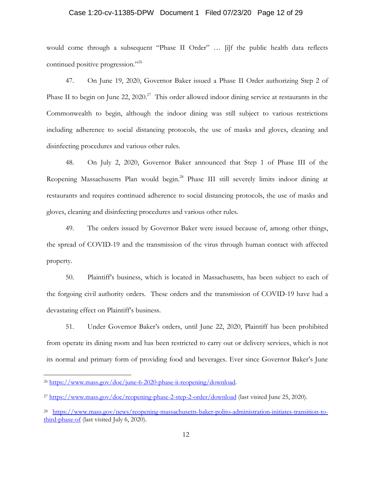#### Case 1:20-cv-11385-DPW Document 1 Filed 07/23/20 Page 12 of 29

would come through a subsequent "Phase II Order" … [i]f the public health data reflects continued positive progression."<sup>26</sup>

47. On June 19, 2020, Governor Baker issued a Phase II Order authorizing Step 2 of Phase II to begin on June 22, 2020.<sup>27</sup> This order allowed indoor dining service at restaurants in the Commonwealth to begin, although the indoor dining was still subject to various restrictions including adherence to social distancing protocols, the use of masks and gloves, cleaning and disinfecting procedures and various other rules.

48. On July 2, 2020, Governor Baker announced that Step 1 of Phase III of the Reopening Massachusetts Plan would begin.<sup>28</sup> Phase III still severely limits indoor dining at restaurants and requires continued adherence to social distancing protocols, the use of masks and gloves, cleaning and disinfecting procedures and various other rules.

49. The orders issued by Governor Baker were issued because of, among other things, the spread of COVID-19 and the transmission of the virus through human contact with affected property.

50. Plaintiff's business, which is located in Massachusetts, has been subject to each of the forgoing civil authority orders. These orders and the transmission of COVID-19 have had a devastating effect on Plaintiff's business.

51. Under Governor Baker's orders, until June 22, 2020, Plaintiff has been prohibited from operate its dining room and has been restricted to carry out or delivery services, which is not its normal and primary form of providing food and beverages. Ever since Governor Baker's June

<sup>26</sup> [https://www.mass.gov/doc/june-6-2020-phase-ii-reopening/download.](https://www.mass.gov/doc/june-6-2020-phase-ii-reopening/download)

<sup>&</sup>lt;sup>27</sup> <https://www.mass.gov/doc/reopening-phase-2-step-2-order/download> (last visited June 25, 2020).

<sup>28</sup> [https://www.mass.gov/news/reopening-massachusetts-baker-polito-administration-initiates-transition-to](https://www.mass.gov/news/reopening-massachusetts-baker-polito-administration-initiates-transition-to-third-phase-of)[third-phase-of](https://www.mass.gov/news/reopening-massachusetts-baker-polito-administration-initiates-transition-to-third-phase-of) (last visited July 6, 2020).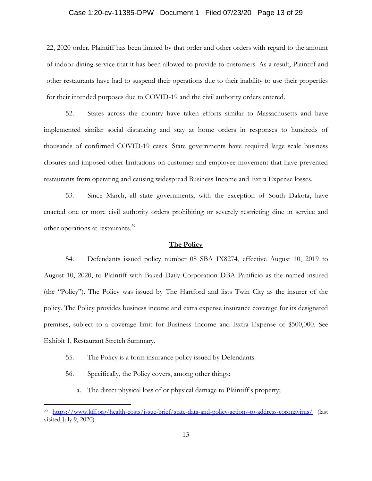#### Case 1:20-cv-11385-DPW Document 1 Filed 07/23/20 Page 13 of 29

22, 2020 order, Plaintiff has been limited by that order and other orders with regard to the amount of indoor dining service that it has been allowed to provide to customers. As a result, Plaintiff and other restaurants have had to suspend their operations due to their inability to use their properties for their intended purposes due to COVID-19 and the civil authority orders entered.

52. States across the country have taken efforts similar to Massachusetts and have implemented similar social distancing and stay at home orders in responses to hundreds of thousands of confirmed COVID-19 cases. State governments have required large scale business closures and imposed other limitations on customer and employee movement that have prevented restaurants from operating and causing widespread Business Income and Extra Expense losses.

53. Since March, all state governments, with the exception of South Dakota, have enacted one or more civil authority orders prohibiting or severely restricting dine in service and other operations at restaurants.<sup>29</sup>

## **The Policy**

54. Defendants issued policy number 08 SBA IX8274, effective August 10, 2019 to August 10, 2020, to Plaintiff with Baked Daily Corporation DBA Panificio as the named insured (the "Policy"). The Policy was issued by The Hartford and lists Twin City as the insurer of the policy. The Policy provides business income and extra expense insurance coverage for its designated premises, subject to a coverage limit for Business Income and Extra Expense of \$500,000. See Exhibit 1, Restaurant Stretch Summary.

- 55. The Policy is a form insurance policy issued by Defendants.
- 56. Specifically, the Policy covers, among other things:

 $\overline{a}$ 

a. The direct physical loss of or physical damage to Plaintiff's property;

<sup>29</sup> <https://www.kff.org/health-costs/issue-brief/state-data-and-policy-actions-to-address-coronavirus/> (last visited July 9, 2020).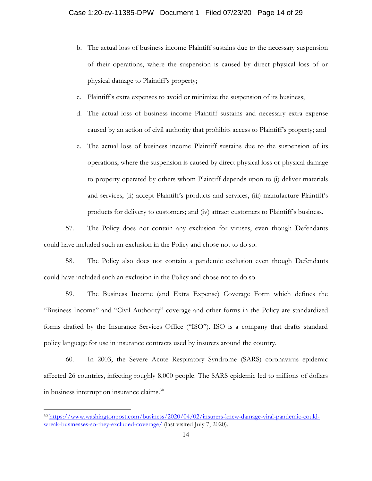- b. The actual loss of business income Plaintiff sustains due to the necessary suspension of their operations, where the suspension is caused by direct physical loss of or physical damage to Plaintiff's property;
- c. Plaintiff's extra expenses to avoid or minimize the suspension of its business;
- d. The actual loss of business income Plaintiff sustains and necessary extra expense caused by an action of civil authority that prohibits access to Plaintiff's property; and
- e. The actual loss of business income Plaintiff sustains due to the suspension of its operations, where the suspension is caused by direct physical loss or physical damage to property operated by others whom Plaintiff depends upon to (i) deliver materials and services, (ii) accept Plaintiff's products and services, (iii) manufacture Plaintiff's products for delivery to customers; and (iv) attract customers to Plaintiff's business.

57. The Policy does not contain any exclusion for viruses, even though Defendants could have included such an exclusion in the Policy and chose not to do so.

58. The Policy also does not contain a pandemic exclusion even though Defendants could have included such an exclusion in the Policy and chose not to do so.

59. The Business Income (and Extra Expense) Coverage Form which defines the "Business Income" and "Civil Authority" coverage and other forms in the Policy are standardized forms drafted by the Insurance Services Office ("ISO"). ISO is a company that drafts standard policy language for use in insurance contracts used by insurers around the country.

60. In 2003, the Severe Acute Respiratory Syndrome (SARS) coronavirus epidemic affected 26 countries, infecting roughly 8,000 people. The SARS epidemic led to millions of dollars in business interruption insurance claims.<sup>30</sup>

<sup>30</sup> [https://www.washingtonpost.com/business/2020/04/02/insurers-knew-damage-viral-pandemic-could](https://www.washingtonpost.com/business/2020/04/02/insurers-knew-damage-viral-pandemic-could-wreak-businesses-so-they-excluded-coverage/)[wreak-businesses-so-they-excluded-coverage/](https://www.washingtonpost.com/business/2020/04/02/insurers-knew-damage-viral-pandemic-could-wreak-businesses-so-they-excluded-coverage/) (last visited July 7, 2020).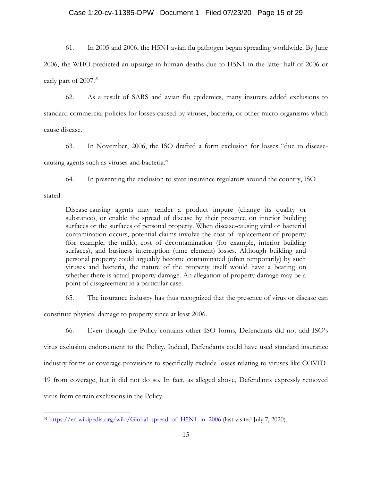## Case 1:20-cv-11385-DPW Document 1 Filed 07/23/20 Page 15 of 29

61. In 2005 and 2006, the H5N1 avian flu pathogen began spreading worldwide. By June 2006, the WHO predicted an upsurge in human deaths due to H5N1 in the latter half of 2006 or early part of 2007.<sup>31</sup>

62. As a result of SARS and avian flu epidemics, many insurers added exclusions to standard commercial policies for losses caused by viruses, bacteria, or other micro-organisms which cause disease.

63. In November, 2006, the ISO drafted a form exclusion for losses "due to diseasecausing agents such as viruses and bacteria."

64. In presenting the exclusion to state insurance regulators around the country, ISO

stated:

 $\overline{a}$ 

Disease-causing agents may render a product impure (change its quality or substance), or enable the spread of disease by their presence on interior building surfaces or the surfaces of personal property. When disease-causing viral or bacterial contamination occurs, potential claims involve the cost of replacement of property (for example, the milk), cost of decontamination (for example, interior building surfaces), and business interruption (time element) losses. Although building and personal property could arguably become contaminated (often temporarily) by such viruses and bacteria, the nature of the property itself would have a bearing on whether there is actual property damage. An allegation of property damage may be a point of disagreement in a particular case.

65. The insurance industry has thus recognized that the presence of virus or disease can

constitute physical damage to property since at least 2006.

66. Even though the Policy contains other ISO forms, Defendants did not add ISO's virus exclusion endorsement to the Policy. Indeed, Defendants could have used standard insurance industry forms or coverage provisions to specifically exclude losses relating to viruses like COVID-19 from coverage, but it did not do so. In fact, as alleged above, Defendants expressly removed virus from certain exclusions in the Policy.

<sup>31</sup> [https://en.wikipedia.org/wiki/Global\\_spread\\_of\\_H5N1\\_in\\_2006](https://en.wikipedia.org/wiki/Global_spread_of_H5N1_in_2006) (last visited July 7, 2020).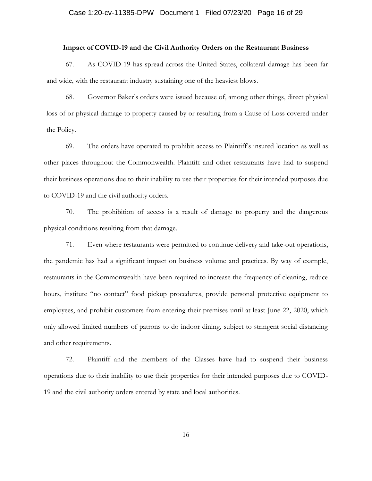#### Case 1:20-cv-11385-DPW Document 1 Filed 07/23/20 Page 16 of 29

#### **Impact of COVID-19 and the Civil Authority Orders on the Restaurant Business**

67. As COVID-19 has spread across the United States, collateral damage has been far and wide, with the restaurant industry sustaining one of the heaviest blows.

68. Governor Baker's orders were issued because of, among other things, direct physical loss of or physical damage to property caused by or resulting from a Cause of Loss covered under the Policy.

69. The orders have operated to prohibit access to Plaintiff's insured location as well as other places throughout the Commonwealth. Plaintiff and other restaurants have had to suspend their business operations due to their inability to use their properties for their intended purposes due to COVID-19 and the civil authority orders.

70. The prohibition of access is a result of damage to property and the dangerous physical conditions resulting from that damage.

71. Even where restaurants were permitted to continue delivery and take-out operations, the pandemic has had a significant impact on business volume and practices. By way of example, restaurants in the Commonwealth have been required to increase the frequency of cleaning, reduce hours, institute "no contact" food pickup procedures, provide personal protective equipment to employees, and prohibit customers from entering their premises until at least June 22, 2020, which only allowed limited numbers of patrons to do indoor dining, subject to stringent social distancing and other requirements.

72. Plaintiff and the members of the Classes have had to suspend their business operations due to their inability to use their properties for their intended purposes due to COVID-19 and the civil authority orders entered by state and local authorities.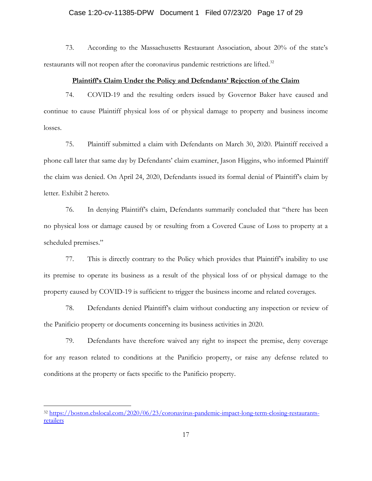## Case 1:20-cv-11385-DPW Document 1 Filed 07/23/20 Page 17 of 29

73. According to the Massachusetts Restaurant Association, about 20% of the state's restaurants will not reopen after the coronavirus pandemic restrictions are lifted.<sup>32</sup>

#### **Plaintiff's Claim Under the Policy and Defendants' Rejection of the Claim**

74. COVID-19 and the resulting orders issued by Governor Baker have caused and continue to cause Plaintiff physical loss of or physical damage to property and business income losses.

75. Plaintiff submitted a claim with Defendants on March 30, 2020. Plaintiff received a phone call later that same day by Defendants' claim examiner, Jason Higgins, who informed Plaintiff the claim was denied. On April 24, 2020, Defendants issued its formal denial of Plaintiff's claim by letter. Exhibit 2 hereto.

76. In denying Plaintiff's claim, Defendants summarily concluded that "there has been no physical loss or damage caused by or resulting from a Covered Cause of Loss to property at a scheduled premises."

77. This is directly contrary to the Policy which provides that Plaintiff's inability to use its premise to operate its business as a result of the physical loss of or physical damage to the property caused by COVID-19 is sufficient to trigger the business income and related coverages.

78. Defendants denied Plaintiff's claim without conducting any inspection or review of the Panificio property or documents concerning its business activities in 2020.

79. Defendants have therefore waived any right to inspect the premise, deny coverage for any reason related to conditions at the Panificio property, or raise any defense related to conditions at the property or facts specific to the Panificio property.

<sup>32</sup> [https://boston.cbslocal.com/2020/06/23/coronavirus-pandemic-impact-long-term-closing-restaurants](https://boston.cbslocal.com/2020/06/23/coronavirus-pandemic-impact-long-term-closing-restaurants-retailers)[retailers](https://boston.cbslocal.com/2020/06/23/coronavirus-pandemic-impact-long-term-closing-restaurants-retailers)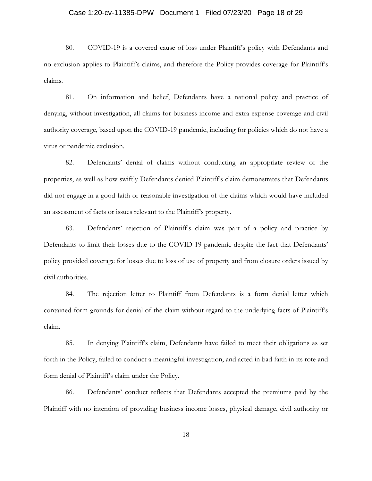#### Case 1:20-cv-11385-DPW Document 1 Filed 07/23/20 Page 18 of 29

80. COVID-19 is a covered cause of loss under Plaintiff's policy with Defendants and no exclusion applies to Plaintiff's claims, and therefore the Policy provides coverage for Plaintiff's claims.

81. On information and belief, Defendants have a national policy and practice of denying, without investigation, all claims for business income and extra expense coverage and civil authority coverage, based upon the COVID-19 pandemic, including for policies which do not have a virus or pandemic exclusion.

82. Defendants' denial of claims without conducting an appropriate review of the properties, as well as how swiftly Defendants denied Plaintiff's claim demonstrates that Defendants did not engage in a good faith or reasonable investigation of the claims which would have included an assessment of facts or issues relevant to the Plaintiff's property.

83. Defendants' rejection of Plaintiff's claim was part of a policy and practice by Defendants to limit their losses due to the COVID-19 pandemic despite the fact that Defendants' policy provided coverage for losses due to loss of use of property and from closure orders issued by civil authorities.

84. The rejection letter to Plaintiff from Defendants is a form denial letter which contained form grounds for denial of the claim without regard to the underlying facts of Plaintiff's claim.

85. In denying Plaintiff's claim, Defendants have failed to meet their obligations as set forth in the Policy, failed to conduct a meaningful investigation, and acted in bad faith in its rote and form denial of Plaintiff's claim under the Policy.

86. Defendants' conduct reflects that Defendants accepted the premiums paid by the Plaintiff with no intention of providing business income losses, physical damage, civil authority or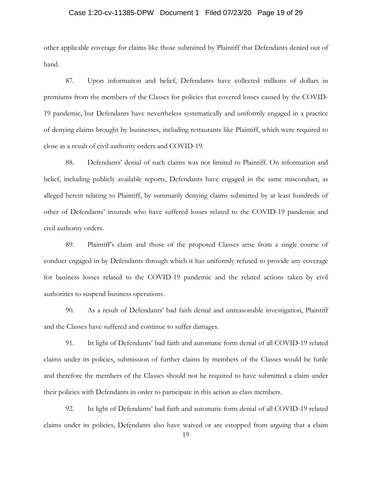## Case 1:20-cv-11385-DPW Document 1 Filed 07/23/20 Page 19 of 29

other applicable coverage for claims like those submitted by Plaintiff that Defendants denied out of hand.

87. Upon information and belief, Defendants have collected millions of dollars in premiums from the members of the Classes for policies that covered losses caused by the COVID-19 pandemic, but Defendants have nevertheless systematically and uniformly engaged in a practice of denying claims brought by businesses, including restaurants like Plaintiff, which were required to close as a result of civil authority orders and COVID-19.

88. Defendants' denial of such claims was not limited to Plaintiff. On information and belief, including publicly available reports, Defendants have engaged in the same misconduct, as alleged herein relating to Plaintiff, by summarily denying claims submitted by at least hundreds of other of Defendants' insureds who have suffered losses related to the COVID-19 pandemic and civil authority orders.

89. Plaintiff's claim and those of the proposed Classes arise from a single course of conduct engaged in by Defendants through which it has uniformly refused to provide any coverage for business losses related to the COVID-19 pandemic and the related actions taken by civil authorities to suspend business operations.

90. As a result of Defendants' bad faith denial and unreasonable investigation, Plaintiff and the Classes have suffered and continue to suffer damages.

91. In light of Defendants' bad faith and automatic form denial of all COVID-19 related claims under its policies, submission of further claims by members of the Classes would be futile and therefore the members of the Classes should not be required to have submitted a claim under their policies with Defendants in order to participate in this action as class members.

92. In light of Defendants' bad faith and automatic form denial of all COVID-19 related claims under its policies, Defendants also have waived or are estopped from arguing that a claim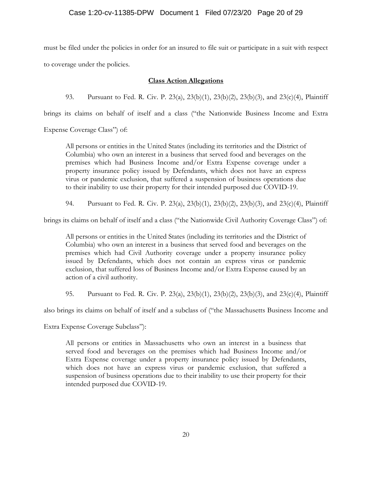# Case 1:20-cv-11385-DPW Document 1 Filed 07/23/20 Page 20 of 29

must be filed under the policies in order for an insured to file suit or participate in a suit with respect to coverage under the policies.

# **Class Action Allegations**

93. Pursuant to Fed. R. Civ. P. 23(a), 23(b)(1), 23(b)(2), 23(b)(3), and 23(c)(4), Plaintiff brings its claims on behalf of itself and a class ("the Nationwide Business Income and Extra Expense Coverage Class") of:

All persons or entities in the United States (including its territories and the District of Columbia) who own an interest in a business that served food and beverages on the premises which had Business Income and/or Extra Expense coverage under a property insurance policy issued by Defendants, which does not have an express virus or pandemic exclusion, that suffered a suspension of business operations due to their inability to use their property for their intended purposed due COVID-19.

94. Pursuant to Fed. R. Civ. P. 23(a), 23(b)(1), 23(b)(2), 23(b)(3), and 23(c)(4), Plaintiff

brings its claims on behalf of itself and a class ("the Nationwide Civil Authority Coverage Class") of:

All persons or entities in the United States (including its territories and the District of Columbia) who own an interest in a business that served food and beverages on the premises which had Civil Authority coverage under a property insurance policy issued by Defendants, which does not contain an express virus or pandemic exclusion, that suffered loss of Business Income and/or Extra Expense caused by an action of a civil authority.

95. Pursuant to Fed. R. Civ. P. 23(a), 23(b)(1), 23(b)(2), 23(b)(3), and 23(c)(4), Plaintiff

also brings its claims on behalf of itself and a subclass of ("the Massachusetts Business Income and

Extra Expense Coverage Subclass"):

All persons or entities in Massachusetts who own an interest in a business that served food and beverages on the premises which had Business Income and/or Extra Expense coverage under a property insurance policy issued by Defendants, which does not have an express virus or pandemic exclusion, that suffered a suspension of business operations due to their inability to use their property for their intended purposed due COVID-19.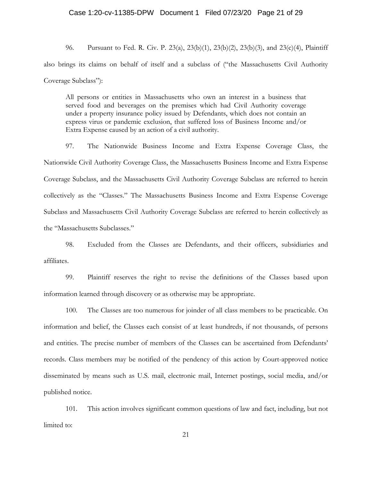#### Case 1:20-cv-11385-DPW Document 1 Filed 07/23/20 Page 21 of 29

96. Pursuant to Fed. R. Civ. P. 23(a), 23(b)(1), 23(b)(2), 23(b)(3), and 23(c)(4), Plaintiff also brings its claims on behalf of itself and a subclass of ("the Massachusetts Civil Authority Coverage Subclass"):

All persons or entities in Massachusetts who own an interest in a business that served food and beverages on the premises which had Civil Authority coverage under a property insurance policy issued by Defendants, which does not contain an express virus or pandemic exclusion, that suffered loss of Business Income and/or Extra Expense caused by an action of a civil authority.

97. The Nationwide Business Income and Extra Expense Coverage Class, the Nationwide Civil Authority Coverage Class, the Massachusetts Business Income and Extra Expense Coverage Subclass, and the Massachusetts Civil Authority Coverage Subclass are referred to herein collectively as the "Classes." The Massachusetts Business Income and Extra Expense Coverage Subclass and Massachusetts Civil Authority Coverage Subclass are referred to herein collectively as the "Massachusetts Subclasses."

98. Excluded from the Classes are Defendants, and their officers, subsidiaries and affiliates.

99. Plaintiff reserves the right to revise the definitions of the Classes based upon information learned through discovery or as otherwise may be appropriate.

100. The Classes are too numerous for joinder of all class members to be practicable. On information and belief, the Classes each consist of at least hundreds, if not thousands, of persons and entities. The precise number of members of the Classes can be ascertained from Defendants' records. Class members may be notified of the pendency of this action by Court-approved notice disseminated by means such as U.S. mail, electronic mail, Internet postings, social media, and/or published notice.

101. This action involves significant common questions of law and fact, including, but not limited to: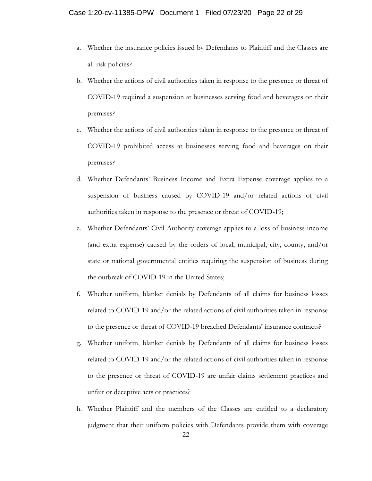- a. Whether the insurance policies issued by Defendants to Plaintiff and the Classes are all-risk policies?
- b. Whether the actions of civil authorities taken in response to the presence or threat of COVID-19 required a suspension at businesses serving food and beverages on their premises?
- c. Whether the actions of civil authorities taken in response to the presence or threat of COVID-19 prohibited access at businesses serving food and beverages on their premises?
- d. Whether Defendants' Business Income and Extra Expense coverage applies to a suspension of business caused by COVID-19 and/or related actions of civil authorities taken in response to the presence or threat of COVID-19;
- e. Whether Defendants' Civil Authority coverage applies to a loss of business income (and extra expense) caused by the orders of local, municipal, city, county, and/or state or national governmental entities requiring the suspension of business during the outbreak of COVID-19 in the United States;
- f. Whether uniform, blanket denials by Defendants of all claims for business losses related to COVID-19 and/or the related actions of civil authorities taken in response to the presence or threat of COVID-19 breached Defendants' insurance contracts?
- g. Whether uniform, blanket denials by Defendants of all claims for business losses related to COVID-19 and/or the related actions of civil authorities taken in response to the presence or threat of COVID-19 are unfair claims settlement practices and unfair or deceptive acts or practices?
- h. Whether Plaintiff and the members of the Classes are entitled to a declaratory judgment that their uniform policies with Defendants provide them with coverage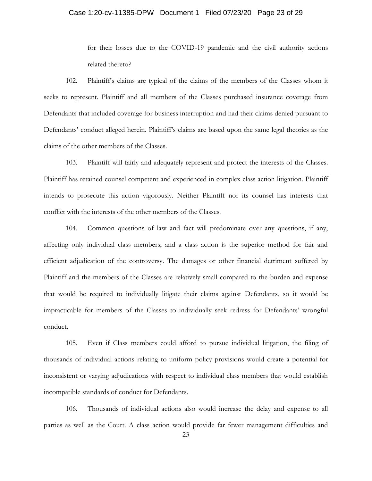#### Case 1:20-cv-11385-DPW Document 1 Filed 07/23/20 Page 23 of 29

for their losses due to the COVID-19 pandemic and the civil authority actions related thereto?

102. Plaintiff's claims are typical of the claims of the members of the Classes whom it seeks to represent. Plaintiff and all members of the Classes purchased insurance coverage from Defendants that included coverage for business interruption and had their claims denied pursuant to Defendants' conduct alleged herein. Plaintiff's claims are based upon the same legal theories as the claims of the other members of the Classes.

103. Plaintiff will fairly and adequately represent and protect the interests of the Classes. Plaintiff has retained counsel competent and experienced in complex class action litigation. Plaintiff intends to prosecute this action vigorously. Neither Plaintiff nor its counsel has interests that conflict with the interests of the other members of the Classes.

104. Common questions of law and fact will predominate over any questions, if any, affecting only individual class members, and a class action is the superior method for fair and efficient adjudication of the controversy. The damages or other financial detriment suffered by Plaintiff and the members of the Classes are relatively small compared to the burden and expense that would be required to individually litigate their claims against Defendants, so it would be impracticable for members of the Classes to individually seek redress for Defendants' wrongful conduct.

105. Even if Class members could afford to pursue individual litigation, the filing of thousands of individual actions relating to uniform policy provisions would create a potential for inconsistent or varying adjudications with respect to individual class members that would establish incompatible standards of conduct for Defendants.

106. Thousands of individual actions also would increase the delay and expense to all parties as well as the Court. A class action would provide far fewer management difficulties and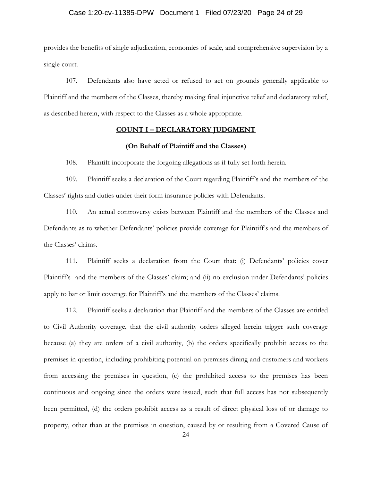# Case 1:20-cv-11385-DPW Document 1 Filed 07/23/20 Page 24 of 29

provides the benefits of single adjudication, economies of scale, and comprehensive supervision by a single court.

107. Defendants also have acted or refused to act on grounds generally applicable to Plaintiff and the members of the Classes, thereby making final injunctive relief and declaratory relief, as described herein, with respect to the Classes as a whole appropriate.

#### **COUNT I – DECLARATORY JUDGMENT**

#### **(On Behalf of Plaintiff and the Classes)**

108. Plaintiff incorporate the forgoing allegations as if fully set forth herein.

109. Plaintiff seeks a declaration of the Court regarding Plaintiff's and the members of the Classes' rights and duties under their form insurance policies with Defendants.

110. An actual controversy exists between Plaintiff and the members of the Classes and Defendants as to whether Defendants' policies provide coverage for Plaintiff's and the members of the Classes' claims.

111. Plaintiff seeks a declaration from the Court that: (i) Defendants' policies cover Plaintiff's and the members of the Classes' claim; and (ii) no exclusion under Defendants' policies apply to bar or limit coverage for Plaintiff's and the members of the Classes' claims.

112. Plaintiff seeks a declaration that Plaintiff and the members of the Classes are entitled to Civil Authority coverage, that the civil authority orders alleged herein trigger such coverage because (a) they are orders of a civil authority, (b) the orders specifically prohibit access to the premises in question, including prohibiting potential on-premises dining and customers and workers from accessing the premises in question, (c) the prohibited access to the premises has been continuous and ongoing since the orders were issued, such that full access has not subsequently been permitted, (d) the orders prohibit access as a result of direct physical loss of or damage to property, other than at the premises in question, caused by or resulting from a Covered Cause of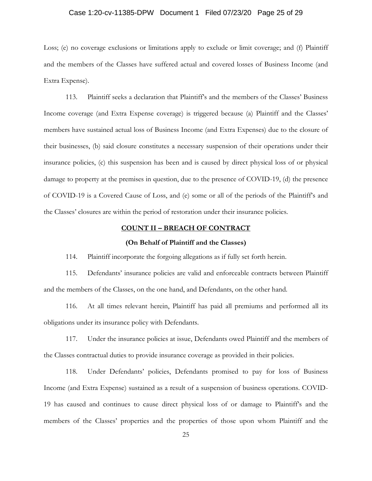## Case 1:20-cv-11385-DPW Document 1 Filed 07/23/20 Page 25 of 29

Loss; (e) no coverage exclusions or limitations apply to exclude or limit coverage; and (f) Plaintiff and the members of the Classes have suffered actual and covered losses of Business Income (and Extra Expense).

113. Plaintiff seeks a declaration that Plaintiff's and the members of the Classes' Business Income coverage (and Extra Expense coverage) is triggered because (a) Plaintiff and the Classes' members have sustained actual loss of Business Income (and Extra Expenses) due to the closure of their businesses, (b) said closure constitutes a necessary suspension of their operations under their insurance policies, (c) this suspension has been and is caused by direct physical loss of or physical damage to property at the premises in question, due to the presence of COVID-19, (d) the presence of COVID-19 is a Covered Cause of Loss, and (e) some or all of the periods of the Plaintiff's and the Classes' closures are within the period of restoration under their insurance policies.

## **COUNT II – BREACH OF CONTRACT**

#### **(On Behalf of Plaintiff and the Classes)**

114. Plaintiff incorporate the forgoing allegations as if fully set forth herein.

115. Defendants' insurance policies are valid and enforceable contracts between Plaintiff and the members of the Classes, on the one hand, and Defendants, on the other hand.

116. At all times relevant herein, Plaintiff has paid all premiums and performed all its obligations under its insurance policy with Defendants.

117. Under the insurance policies at issue, Defendants owed Plaintiff and the members of the Classes contractual duties to provide insurance coverage as provided in their policies.

118. Under Defendants' policies, Defendants promised to pay for loss of Business Income (and Extra Expense) sustained as a result of a suspension of business operations. COVID-19 has caused and continues to cause direct physical loss of or damage to Plaintiff's and the members of the Classes' properties and the properties of those upon whom Plaintiff and the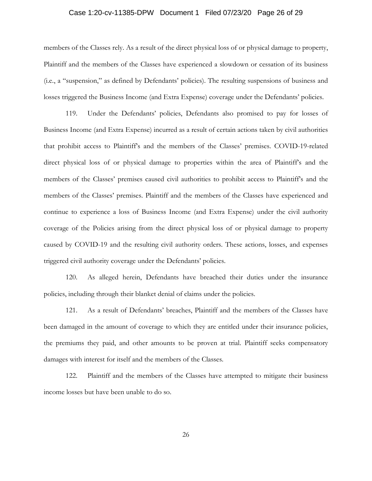## Case 1:20-cv-11385-DPW Document 1 Filed 07/23/20 Page 26 of 29

members of the Classes rely. As a result of the direct physical loss of or physical damage to property, Plaintiff and the members of the Classes have experienced a slowdown or cessation of its business (i.e., a "suspension," as defined by Defendants' policies). The resulting suspensions of business and losses triggered the Business Income (and Extra Expense) coverage under the Defendants' policies.

119. Under the Defendants' policies, Defendants also promised to pay for losses of Business Income (and Extra Expense) incurred as a result of certain actions taken by civil authorities that prohibit access to Plaintiff's and the members of the Classes' premises. COVID-19-related direct physical loss of or physical damage to properties within the area of Plaintiff's and the members of the Classes' premises caused civil authorities to prohibit access to Plaintiff's and the members of the Classes' premises. Plaintiff and the members of the Classes have experienced and continue to experience a loss of Business Income (and Extra Expense) under the civil authority coverage of the Policies arising from the direct physical loss of or physical damage to property caused by COVID-19 and the resulting civil authority orders. These actions, losses, and expenses triggered civil authority coverage under the Defendants' policies.

120. As alleged herein, Defendants have breached their duties under the insurance policies, including through their blanket denial of claims under the policies.

121. As a result of Defendants' breaches, Plaintiff and the members of the Classes have been damaged in the amount of coverage to which they are entitled under their insurance policies, the premiums they paid, and other amounts to be proven at trial. Plaintiff seeks compensatory damages with interest for itself and the members of the Classes.

122. Plaintiff and the members of the Classes have attempted to mitigate their business income losses but have been unable to do so.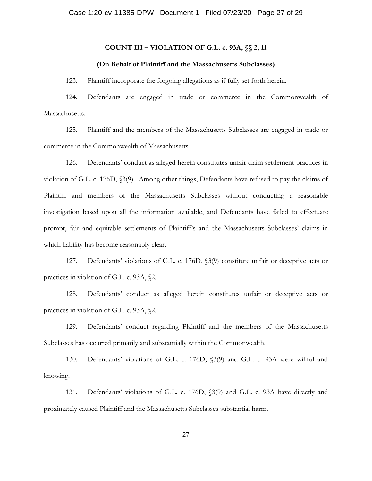## **COUNT III – VIOLATION OF G.L. c. 93A, §§ 2, 11**

#### **(On Behalf of Plaintiff and the Massachusetts Subclasses)**

123. Plaintiff incorporate the forgoing allegations as if fully set forth herein.

124. Defendants are engaged in trade or commerce in the Commonwealth of Massachusetts.

125. Plaintiff and the members of the Massachusetts Subclasses are engaged in trade or commerce in the Commonwealth of Massachusetts.

126. Defendants' conduct as alleged herein constitutes unfair claim settlement practices in violation of G.L. c. 176D, §3(9). Among other things, Defendants have refused to pay the claims of Plaintiff and members of the Massachusetts Subclasses without conducting a reasonable investigation based upon all the information available, and Defendants have failed to effectuate prompt, fair and equitable settlements of Plaintiff's and the Massachusetts Subclasses' claims in which liability has become reasonably clear.

127. Defendants' violations of G.L. c. 176D, §3(9) constitute unfair or deceptive acts or practices in violation of G.L. c. 93A, §2.

128. Defendants' conduct as alleged herein constitutes unfair or deceptive acts or practices in violation of G.L. c. 93A, §2.

129. Defendants' conduct regarding Plaintiff and the members of the Massachusetts Subclasses has occurred primarily and substantially within the Commonwealth.

130. Defendants' violations of G.L. c. 176D, §3(9) and G.L. c. 93A were willful and knowing.

131. Defendants' violations of G.L. c. 176D, §3(9) and G.L. c. 93A have directly and proximately caused Plaintiff and the Massachusetts Subclasses substantial harm.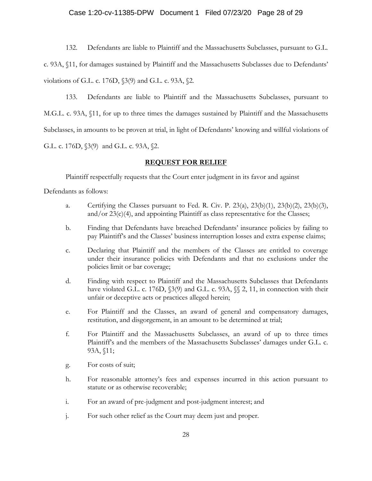## Case 1:20-cv-11385-DPW Document 1 Filed 07/23/20 Page 28 of 29

132. Defendants are liable to Plaintiff and the Massachusetts Subclasses, pursuant to G.L.

c. 93A, §11, for damages sustained by Plaintiff and the Massachusetts Subclasses due to Defendants' violations of G.L. c. 176D, §3(9) and G.L. c. 93A, §2.

133. Defendants are liable to Plaintiff and the Massachusetts Subclasses, pursuant to M.G.L. c. 93A, §11, for up to three times the damages sustained by Plaintiff and the Massachusetts Subclasses, in amounts to be proven at trial, in light of Defendants' knowing and willful violations of G.L. c. 176D, §3(9) and G.L. c. 93A, §2.

### **REQUEST FOR RELIEF**

Plaintiff respectfully requests that the Court enter judgment in its favor and against

Defendants as follows:

- a. Certifying the Classes pursuant to Fed. R. Civ. P. 23(a), 23(b)(1), 23(b)(2), 23(b)(3), and/or 23(c)(4), and appointing Plaintiff as class representative for the Classes;
- b. Finding that Defendants have breached Defendants' insurance policies by failing to pay Plaintiff's and the Classes' business interruption losses and extra expense claims;
- c. Declaring that Plaintiff and the members of the Classes are entitled to coverage under their insurance policies with Defendants and that no exclusions under the policies limit or bar coverage;
- d. Finding with respect to Plaintiff and the Massachusetts Subclasses that Defendants have violated G.L. c. 176D,  $\S3(9)$  and G.L. c. 93A,  $\S6$  2, 11, in connection with their unfair or deceptive acts or practices alleged herein;
- e. For Plaintiff and the Classes, an award of general and compensatory damages, restitution, and disgorgement, in an amount to be determined at trial;
- f. For Plaintiff and the Massachusetts Subclasses, an award of up to three times Plaintiff's and the members of the Massachusetts Subclasses' damages under G.L. c. 93A, §11;
- g. For costs of suit;
- h. For reasonable attorney's fees and expenses incurred in this action pursuant to statute or as otherwise recoverable;
- i. For an award of pre-judgment and post-judgment interest; and
- j. For such other relief as the Court may deem just and proper.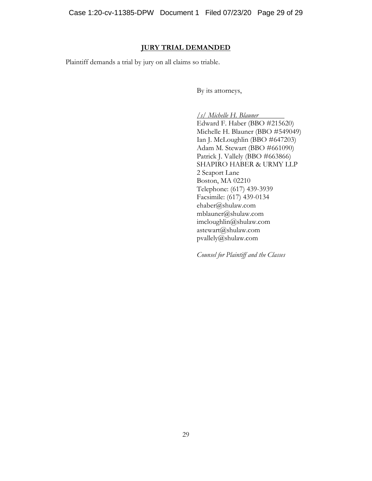## **JURY TRIAL DEMANDED**

Plaintiff demands a trial by jury on all claims so triable.

By its attorneys,

*/s/ Michelle H. Blauner*

Edward F. Haber (BBO #215620) Michelle H. Blauner (BBO #549049) Ian J. McLoughlin (BBO #647203) Adam M. Stewart (BBO #661090) Patrick J. Vallely (BBO #663866) SHAPIRO HABER & URMY LLP 2 Seaport Lane Boston, MA 02210 Telephone: (617) 439-3939 Facsimile: (617) 439-0134 ehaber@shulaw.com mblauner@shulaw.com imcloughlin@shulaw.com astewart@shulaw.com pvallely@shulaw.com

*Counsel for Plaintiff and the Classes*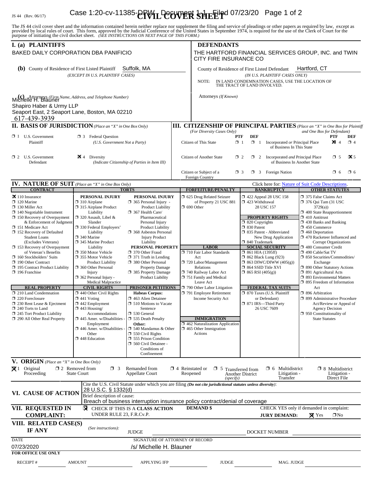# IS 44 (Rev. 06/17) **Case 1:20-cv-11385-<del>DPW</del>IL COUVER SHEE<sup>I</sup>F dd 07/23/20** Page 1 of 2

The JS 44 civil cover sheet and the information contained herein neither replace nor supplement the filing and service of pleadings or other papers as required by law, except as provided by local rules of court. This form,

| I. (a) PLAINTIFFS                                                               |                                                                                                                                                                                                                    |                                                        |                       | <b>DEFENDANTS</b>                                                                                                                              |                                                              |                                                                        |                                                                         |                                                  |             |  |
|---------------------------------------------------------------------------------|--------------------------------------------------------------------------------------------------------------------------------------------------------------------------------------------------------------------|--------------------------------------------------------|-----------------------|------------------------------------------------------------------------------------------------------------------------------------------------|--------------------------------------------------------------|------------------------------------------------------------------------|-------------------------------------------------------------------------|--------------------------------------------------|-------------|--|
| BAKED DAILY CORPORATION DBA PANIFICIO                                           |                                                                                                                                                                                                                    |                                                        |                       | THE HARTFORD FINANCIAL SERVICES GROUP, INC. and TWIN<br>CITY FIRE INSURANCE CO                                                                 |                                                              |                                                                        |                                                                         |                                                  |             |  |
| Suffolk, MA<br>(b) County of Residence of First Listed Plaintiff                |                                                                                                                                                                                                                    |                                                        |                       | Hartford, CT                                                                                                                                   |                                                              |                                                                        |                                                                         |                                                  |             |  |
|                                                                                 | (EXCEPT IN U.S. PLAINTIFF CASES)                                                                                                                                                                                   |                                                        |                       | County of Residence of First Listed Defendant<br>(IN U.S. PLAINTIFF CASES ONLY)                                                                |                                                              |                                                                        |                                                                         |                                                  |             |  |
|                                                                                 |                                                                                                                                                                                                                    |                                                        |                       | IN LAND CONDEMNATION CASES, USE THE LOCATION OF<br>NOTE:<br>THE TRACT OF LAND INVOLVED.                                                        |                                                              |                                                                        |                                                                         |                                                  |             |  |
| (c) Attorneys (Firm Name, Address, and Telephone Number)<br>Michelle H. Blauner |                                                                                                                                                                                                                    |                                                        |                       | Attorneys (If Known)                                                                                                                           |                                                              |                                                                        |                                                                         |                                                  |             |  |
| Shapiro Haber & Urmy LLP<br>Seaport East, 2 Seaport Lane, Boston, MA 02210      |                                                                                                                                                                                                                    |                                                        |                       |                                                                                                                                                |                                                              |                                                                        |                                                                         |                                                  |             |  |
| 617-439-3939                                                                    |                                                                                                                                                                                                                    |                                                        |                       |                                                                                                                                                |                                                              |                                                                        |                                                                         |                                                  |             |  |
| <b>II. BASIS OF JURISDICTION</b> (Place an "X" in One Box Only)                 |                                                                                                                                                                                                                    |                                                        |                       | <b>III. CITIZENSHIP OF PRINCIPAL PARTIES</b> (Place an "X" in One Box for Plaintiff                                                            |                                                              |                                                                        |                                                                         |                                                  |             |  |
| U.S. Government<br><b>3</b> Federal Question<br>$\Box$ 1                        |                                                                                                                                                                                                                    |                                                        |                       | (For Diversity Cases Only)                                                                                                                     | <b>DEF</b><br>PTF                                            |                                                                        | and One Box for Defendant)                                              | PTF                                              | <b>DEF</b>  |  |
| (U.S. Government Not a Party)<br>Plaintiff                                      |                                                                                                                                                                                                                    |                                                        | Citizen of This State | $\Box$ 1<br>$\Box$ 1                                                                                                                           | Incorporated or Principal Place<br>of Business In This State |                                                                        | $\mathbf{\times}$ 4                                                     | $\Box$ 4                                         |             |  |
| $\Box$ 2 U.S. Government<br>Defendant                                           | $\times 4$<br>Diversity<br>(Indicate Citizenship of Parties in Item III)                                                                                                                                           |                                                        |                       | <b>区</b> 5<br>Incorporated and Principal Place<br>$\Box$ 5<br>Citizen of Another State<br>$\Box$ 2<br>$\Box$ 2<br>of Business In Another State |                                                              |                                                                        |                                                                         |                                                  |             |  |
|                                                                                 |                                                                                                                                                                                                                    |                                                        |                       | Citizen or Subject of a<br>Foreign Country                                                                                                     | $\Box$ 3                                                     | $\Box$ 3 Foreign Nation                                                |                                                                         | $\Box$ 6                                         | $\square$ 6 |  |
| <b>IV. NATURE OF SUIT</b> (Place an "X" in One Box Only)<br><b>CONTRACT</b>     |                                                                                                                                                                                                                    | <b>TORTS</b>                                           |                       | <b>FORFEITURE/PENALTY</b>                                                                                                                      |                                                              | Click here for: Nature of Suit Code Descriptions.<br><b>BANKRUPTCY</b> |                                                                         | <b>OTHER STATUTES</b>                            |             |  |
| $\mathbf{\times}$ 110 Insurance                                                 | PERSONAL INJURY                                                                                                                                                                                                    | PERSONAL INJURY                                        |                       | □ 625 Drug Related Seizure                                                                                                                     |                                                              | 158 122 Appeal 28 USC 158                                              | 375 False Claims Act                                                    |                                                  |             |  |
| $\Box$ 120 Marine<br>$\Box$ 130 Miller Act                                      | $\Box$ 310 Airplane<br>□ 315 Airplane Product                                                                                                                                                                      | $\Box$ 365 Personal Injury -<br>Product Liability      |                       | of Property 21 USC 881<br>$\Box$ 690 Other                                                                                                     | $\Box$ 423 Withdrawal<br>28 USC 157                          |                                                                        | $\Box$ 376 Qui Tam (31 USC<br>3729(a)                                   |                                                  |             |  |
| $\Box$ 140 Negotiable Instrument<br>$\Box$ 150 Recovery of Overpayment          | Liability<br>$\Box$ 320 Assault, Libel &                                                                                                                                                                           | 367 Health Care/<br>Pharmaceutical                     |                       |                                                                                                                                                |                                                              | <b>PROPERTY RIGHTS</b>                                                 | 1 400 State Reapportionment<br>$\Box$ 410 Antitrust                     |                                                  |             |  |
| & Enforcement of Judgment<br>□ 151 Medicare Act                                 | Slander<br>□ 330 Federal Employers'                                                                                                                                                                                | Personal Injury<br><b>Product Liability</b>            |                       |                                                                                                                                                | $\Box$ 820 Copyrights<br>$\Box$ 830 Patent                   |                                                                        | $\Box$ 430 Banks and Banking<br>$\Box$ 450 Commerce                     |                                                  |             |  |
| $\Box$ 152 Recovery of Defaulted<br><b>Student Loans</b>                        | Liability<br>$\Box$ 340 Marine                                                                                                                                                                                     | 368 Asbestos Personal<br><b>Injury Product</b>         |                       |                                                                                                                                                | 335 Patent - Abbreviated<br>New Drug Application             |                                                                        | $\Box$ 460 Deportation<br>1 470 Racketeer Influenced and                |                                                  |             |  |
| (Excludes Veterans)                                                             | 345 Marine Product                                                                                                                                                                                                 | Liability                                              |                       | <b>LABOR</b>                                                                                                                                   | □ 840 Trademark                                              |                                                                        |                                                                         | <b>Corrupt Organizations</b>                     |             |  |
| $\Box$ 153 Recovery of Overpayment<br>of Veteran's Benefits                     | Liability<br>□ 350 Motor Vehicle                                                                                                                                                                                   | PERSONAL PROPERTY<br>370 Other Fraud                   |                       | 710 Fair Labor Standards                                                                                                                       | <b>SOCIAL SECURITY</b><br>$\Box$ 861 HIA (1395ff)            |                                                                        | 480 Consumer Credit<br>□ 490 Cable/Sat TV                               |                                                  |             |  |
| $\Box$ 160 Stockholders' Suits<br>190 Other Contract                            | □ 355 Motor Vehicle<br><b>Product Liability</b>                                                                                                                                                                    | $\Box$ 371 Truth in Lending<br>380 Other Personal      |                       | Act<br>$\Box$ 720 Labor/Management                                                                                                             | $\Box$ 862 Black Lung (923)                                  | $\Box$ 863 DIWC/DIWW (405(g))                                          | $\Box$ 850 Securities/Commodities/<br>Exchange                          |                                                  |             |  |
| 195 Contract Product Liability<br>$\Box$ 196 Franchise                          | 360 Other Personal<br>Injury                                                                                                                                                                                       | <b>Property Damage</b><br>385 Property Damage          |                       | Relations<br>740 Railway Labor Act                                                                                                             | $\Box$ 864 SSID Title XVI<br>$\Box$ 865 RSI (405(g))         |                                                                        | 1 890 Other Statutory Actions<br>□ 891 Agricultural Acts                |                                                  |             |  |
|                                                                                 | $\Box$ 362 Personal Injury -<br>Medical Malpractice                                                                                                                                                                | Product Liability                                      |                       | 751 Family and Medical<br>Leave Act                                                                                                            |                                                              |                                                                        | <b>1 893 Environmental Matters</b><br>$\Box$ 895 Freedom of Information |                                                  |             |  |
| <b>REAL PROPERTY</b>                                                            | <b>CIVIL RIGHTS</b>                                                                                                                                                                                                | <b>PRISONER PETITIONS</b>                              |                       | 790 Other Labor Litigation                                                                                                                     |                                                              | <b>FEDERAL TAX SUITS</b>                                               | Act                                                                     |                                                  |             |  |
| $\Box$ 210 Land Condemnation<br>$\Box$ 220 Foreclosure                          | $\Box$ 440 Other Civil Rights<br>$\Box$ 441 Voting                                                                                                                                                                 | <b>Habeas Corpus:</b><br>463 Alien Detainee            |                       | 791 Employee Retirement<br>Income Security Act                                                                                                 |                                                              | $\Box$ 870 Taxes (U.S. Plaintiff<br>or Defendant)                      | $\Box$ 896 Arbitration<br>□ 899 Administrative Procedure                |                                                  |             |  |
| $\Box$ 230 Rent Lease & Ejectment<br>$\Box$ 240 Torts to Land                   | $\Box$ 442 Employment<br>$\Box$ 510 Motions to Vacate<br>$\Box$ 443 Housing/<br>Sentence<br>Accommodations<br>$\Box$ 530 General<br>$\Box$ 445 Amer. w/Disabilities -<br>535 Death Penalty<br>Other:<br>Employment |                                                        |                       |                                                                                                                                                | □ 871 IRS-Third Party<br>26 USC 7609                         |                                                                        | Act/Review or Appeal of<br>Agency Decision                              |                                                  |             |  |
| 245 Tort Product Liability<br>290 All Other Real Property                       |                                                                                                                                                                                                                    |                                                        |                       | <b>IMMIGRATION</b>                                                                                                                             |                                                              |                                                                        | $\Box$ 950 Constitutionality of<br><b>State Statutes</b>                |                                                  |             |  |
|                                                                                 |                                                                                                                                                                                                                    |                                                        |                       | 1462 Naturalization Application                                                                                                                |                                                              |                                                                        |                                                                         |                                                  |             |  |
|                                                                                 | $\Box$ 446 Amer. w/Disabilities<br>Other                                                                                                                                                                           | $\Box$ 540 Mandamus & Other<br>$\Box$ 550 Civil Rights |                       | $\Box$ 465 Other Immigration<br>Actions                                                                                                        |                                                              |                                                                        |                                                                         |                                                  |             |  |
|                                                                                 | 448 Education                                                                                                                                                                                                      | 555 Prison Condition<br>560 Civil Detainee -           |                       |                                                                                                                                                |                                                              |                                                                        |                                                                         |                                                  |             |  |
|                                                                                 |                                                                                                                                                                                                                    | Conditions of<br>Confinement                           |                       |                                                                                                                                                |                                                              |                                                                        |                                                                         |                                                  |             |  |
| V. ORIGIN (Place an "X" in One Box Only)                                        |                                                                                                                                                                                                                    |                                                        |                       |                                                                                                                                                |                                                              |                                                                        |                                                                         |                                                  |             |  |
| $\mathbf{\overline{X}}$ 1 Original<br>Proceeding                                | $\Box$ 2 Removed from<br>$\Box$ 3<br><b>State Court</b>                                                                                                                                                            | Remanded from<br><b>Appellate Court</b>                |                       | $\Box$ 4 Reinstated or $\Box$ 5 Transferred from<br>Reopened<br>(specify)                                                                      | <b>Another District</b>                                      | $\Box$ 6 Multidistrict<br>Litigation -<br>Transfer                     |                                                                         | □ 8 Multidistrict<br>Litigation -<br>Direct File |             |  |
|                                                                                 |                                                                                                                                                                                                                    |                                                        |                       | Cite the U.S. Civil Statute under which you are filing (Do not cite jurisdictional statutes unless diversity):                                 |                                                              |                                                                        |                                                                         |                                                  |             |  |
| VI. CAUSE OF ACTION                                                             | 28 U.S.C. § 1332(d)<br>Brief description of cause:                                                                                                                                                                 |                                                        |                       |                                                                                                                                                |                                                              |                                                                        |                                                                         |                                                  |             |  |
|                                                                                 |                                                                                                                                                                                                                    |                                                        |                       | Breach of business interruption insurance policy contract/denial of coverage                                                                   |                                                              |                                                                        |                                                                         |                                                  |             |  |
| VII. REQUESTED IN<br><b>COMPLAINT:</b>                                          | ⊠<br>UNDER RULE 23, F.R.Cv.P.                                                                                                                                                                                      | CHECK IF THIS IS A CLASS ACTION                        |                       | <b>DEMAND</b> \$                                                                                                                               |                                                              | CHECK YES only if demanded in complaint:<br><b>JURY DEMAND:</b>        | $\boxtimes$ Yes                                                         | $\square$ No                                     |             |  |
| <b>IF ANY</b>                                                                   | VIII. RELATED CASE(S)<br>(See instructions):<br><b>JUDGE</b>                                                                                                                                                       |                                                        |                       |                                                                                                                                                | DOCKET NUMBER                                                |                                                                        |                                                                         |                                                  |             |  |
| <b>DATE</b>                                                                     | SIGNATURE OF ATTORNEY OF RECORD                                                                                                                                                                                    |                                                        |                       |                                                                                                                                                |                                                              |                                                                        |                                                                         |                                                  |             |  |
| 07/23/2020<br><b>FOR OFFICE USE ONLY</b>                                        | /s/ Michelle H. Blauner                                                                                                                                                                                            |                                                        |                       |                                                                                                                                                |                                                              |                                                                        |                                                                         |                                                  |             |  |
| <b>RECEIPT#</b>                                                                 | <b>JUDGE</b><br><b>AMOUNT</b><br><b>APPLYING IFP</b><br>MAG. JUDGE                                                                                                                                                 |                                                        |                       |                                                                                                                                                |                                                              |                                                                        |                                                                         |                                                  |             |  |
|                                                                                 |                                                                                                                                                                                                                    |                                                        |                       |                                                                                                                                                |                                                              |                                                                        |                                                                         |                                                  |             |  |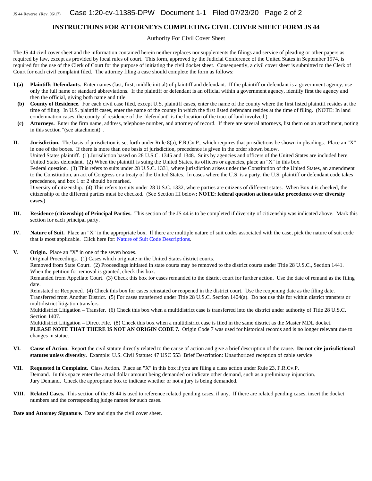## **INSTRUCTIONS FOR ATTORNEYS COMPLETING CIVIL COVER SHEET FORM JS 44**

Authority For Civil Cover Sheet

The JS 44 civil cover sheet and the information contained herein neither replaces nor supplements the filings and service of pleading or other papers as required by law, except as provided by local rules of court. This form, approved by the Judicial Conference of the United States in September 1974, is required for the use of the Clerk of Court for the purpose of initiating the civil docket sheet. Consequently, a civil cover sheet is submitted to the Clerk of Court for each civil complaint filed. The attorney filing a case should complete the form as follows:

- **I.(a)** Plaintiffs-Defendants. Enter names (last, first, middle initial) of plaintiff and defendant. If the plaintiff or defendant is a government agency, use only the full name or standard abbreviations. If the plaintiff or defendant is an official within a government agency, identify first the agency and then the official, giving both name and title.
- **(b) County of Residence.** For each civil case filed, except U.S. plaintiff cases, enter the name of the county where the first listed plaintiff resides at the time of filing. In U.S. plaintiff cases, enter the name of the county in which the first listed defendant resides at the time of filing. (NOTE: In land condemnation cases, the county of residence of the "defendant" is the location of the tract of land involved.)
- **(c) Attorneys.** Enter the firm name, address, telephone number, and attorney of record. If there are several attorneys, list them on an attachment, noting in this section "(see attachment)".

**II. Jurisdiction.** The basis of jurisdiction is set forth under Rule 8(a), F.R.Cv.P., which requires that jurisdictions be shown in pleadings. Place an "X" in one of the boxes. If there is more than one basis of jurisdiction, precedence is given in the order shown below.

United States plaintiff. (1) Jurisdiction based on 28 U.S.C. 1345 and 1348. Suits by agencies and officers of the United States are included here. United States defendant. (2) When the plaintiff is suing the United States, its officers or agencies, place an "X" in this box.

Federal question. (3) This refers to suits under 28 U.S.C. 1331, where jurisdiction arises under the Constitution of the United States, an amendment to the Constitution, an act of Congress or a treaty of the United States. In cases where the U.S. is a party, the U.S. plaintiff or defendant code takes precedence, and box 1 or 2 should be marked.

Diversity of citizenship. (4) This refers to suits under 28 U.S.C. 1332, where parties are citizens of different states. When Box 4 is checked, the citizenship of the different parties must be checked**.** (See Section III below**; NOTE: federal question actions take precedence over diversity cases.**)

- **III. Residence (citizenship) of Principal Parties.** This section of the JS 44 is to be completed if diversity of citizenship was indicated above. Mark this section for each principal party.
- **IV. Nature of Suit.** Place an "X" in the appropriate box. If there are multiple nature of suit codes associated with the case, pick the nature of suit code that is most applicable. Click here for: Nature of Suit Code Descriptions.
- **V. Origin.** Place an "X" in one of the seven boxes.

Original Proceedings. (1) Cases which originate in the United States district courts.

Removed from State Court. (2) Proceedings initiated in state courts may be removed to the district courts under Title 28 U.S.C., Section 1441. When the petition for removal is granted, check this box.

Remanded from Appellate Court. (3) Check this box for cases remanded to the district court for further action. Use the date of remand as the filing date.

Reinstated or Reopened. (4) Check this box for cases reinstated or reopened in the district court. Use the reopening date as the filing date. Transferred from Another District. (5) For cases transferred under Title 28 U.S.C. Section 1404(a). Do not use this for within district transfers or multidistrict litigation transfers.

Multidistrict Litigation – Transfer. (6) Check this box when a multidistrict case is transferred into the district under authority of Title 28 U.S.C. Section 1407.

Multidistrict Litigation – Direct File. (8) Check this box when a multidistrict case is filed in the same district as the Master MDL docket. **PLEASE NOTE THAT THERE IS NOT AN ORIGIN CODE 7.** Origin Code 7 was used for historical records and is no longer relevant due to changes in statue.

- **VI. Cause of Action.** Report the civil statute directly related to the cause of action and give a brief description of the cause. **Do not cite jurisdictional statutes unless diversity.** Example: U.S. Civil Statute: 47 USC 553 Brief Description: Unauthorized reception of cable service
- **VII. Requested in Complaint.** Class Action. Place an "X" in this box if you are filing a class action under Rule 23, F.R.Cv.P. Demand. In this space enter the actual dollar amount being demanded or indicate other demand, such as a preliminary injunction. Jury Demand. Check the appropriate box to indicate whether or not a jury is being demanded.
- **VIII. Related Cases.** This section of the JS 44 is used to reference related pending cases, if any. If there are related pending cases, insert the docket numbers and the corresponding judge names for such cases.

**Date and Attorney Signature.** Date and sign the civil cover sheet.